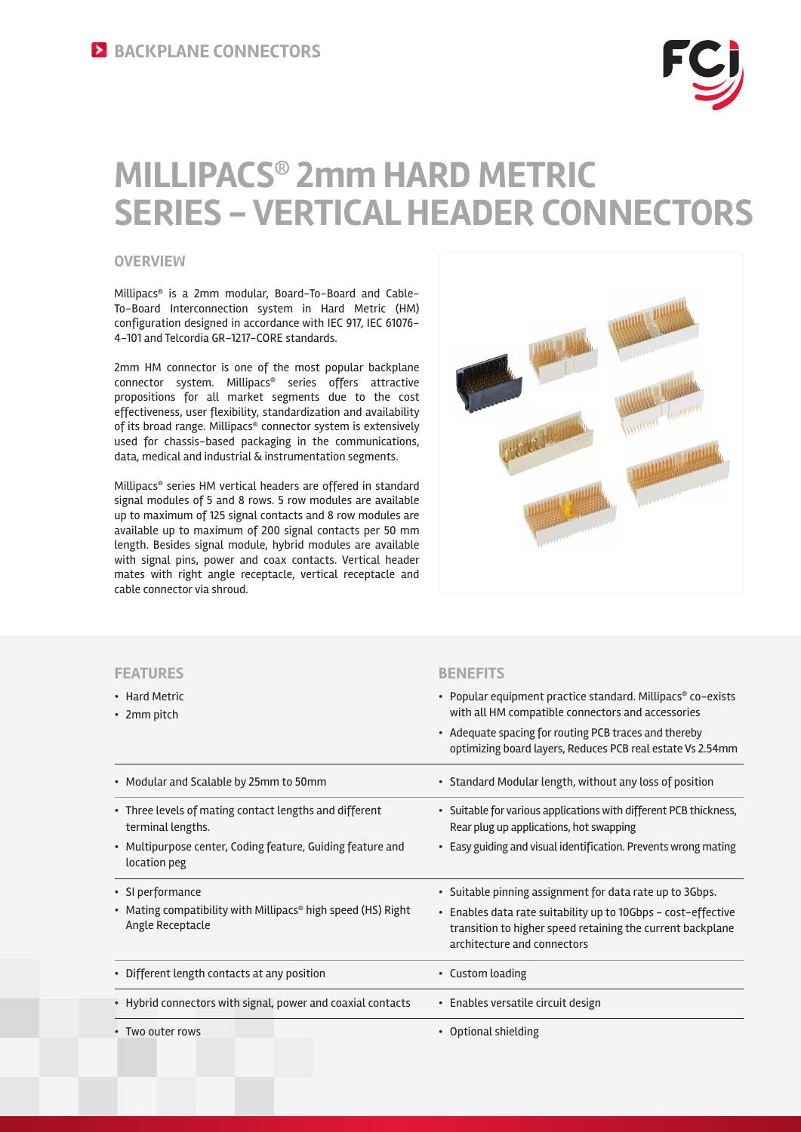# **MILLIPACS® 2mm HARD METRIC SERIES - VERTICAL HEADER CONNECTORS**

#### **OVERVIEW**

Millipacs® is a 2mm modular, Board-To-Board and Cable-To-Board Interconnection system in Hard Metric (HM) configuration designed in accordance with IEC 917, IEC 61076- 4-101 and Telcordia GR-1217-CORE standards.

2mm HM connector is one of the most popular backplane connector system. Millipacs® series offers attractive propositions for all market segments due to the cost effectiveness, user flexibility, standardization and availability of its broad range. Millipacs® connector system is extensively used for chassis-based packaging in the communications, data, medical and industrial & instrumentation segments.

Millipacs® series HM vertical headers are offered in standard signal modules of 5 and 8 rows. 5 row modules are available up to maximum of 125 signal contacts and 8 row modules are available up to maximum of 200 signal contacts per 50 mm length. Besides signal module, hybrid modules are available with signal pins, power and coax contacts. Vertical header mates with right angle receptacle, vertical receptacle and cable connector via shroud.



#### **FEATURES BENEFITS**

| • Hard Metric<br>• 2mm pitch                                                                                                                              | • Popular equipment practice standard. Millipacs® co-exists<br>with all HM compatible connectors and accessories<br>• Adequate spacing for routing PCB traces and thereby<br>optimizing board layers, Reduces PCB real estate Vs 2.54mm |
|-----------------------------------------------------------------------------------------------------------------------------------------------------------|-----------------------------------------------------------------------------------------------------------------------------------------------------------------------------------------------------------------------------------------|
| • Modular and Scalable by 25mm to 50mm                                                                                                                    | • Standard Modular length, without any loss of position                                                                                                                                                                                 |
| • Three levels of mating contact lengths and different<br>terminal lengths.<br>• Multipurpose center, Coding feature, Guiding feature and<br>location peg | • Suitable for various applications with different PCB thickness,<br>Rear plug up applications, hot swapping<br>• Easy guiding and visual identification. Prevents wrong mating                                                         |
| • SI performance<br>• Mating compatibility with Millipacs® high speed (HS) Right<br>Angle Receptacle                                                      | • Suitable pinning assignment for data rate up to 3Gbps.<br>• Enables data rate suitability up to 10Gbps - cost-effective<br>transition to higher speed retaining the current backplane<br>architecture and connectors                  |
| • Different length contacts at any position                                                                                                               | • Custom loading                                                                                                                                                                                                                        |
| • Hybrid connectors with signal, power and coaxial contacts                                                                                               | • Enables versatile circuit design                                                                                                                                                                                                      |
| • Two outer rows                                                                                                                                          | • Optional shielding                                                                                                                                                                                                                    |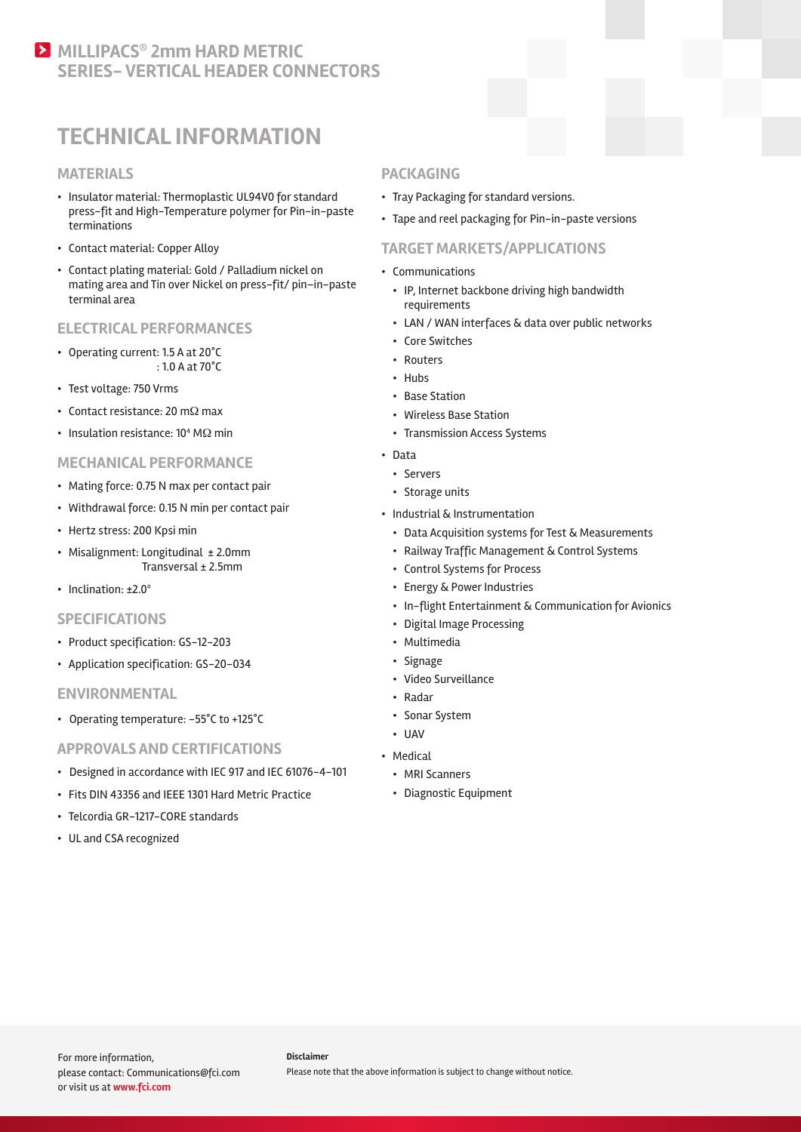### **MILLIPACS<sup>®</sup> 2mm HARD METRIC SERIES- VERTICAL HEADER CONNECTORS**

## **TECHNICAL INFORMATION**

#### **MATERIALS**

- Insulator material: Thermoplastic UL94V0 for standard press-fit and High-Temperature polymer for Pin-in-paste terminations
- Contact material: Copper Alloy
- Contact plating material: Gold / Palladium nickel on mating area and Tin over Nickel on press-fit/ pin–in-paste terminal area

#### **ELECTRICAL PERFORMANCES**

- Operating current: 1.5 A at 20°C : 1.0 A at 70°C
- Test voltage: 750 Vrms
- Contact resistance: 20 mΩ max
- Insulation resistance:  $10^4$  M $\Omega$  min

#### **MECHANICAL PERFORMANCE**

- Mating force: 0.75 N max per contact pair
- Withdrawal force: 0.15 N min per contact pair
- Hertz stress: 200 Kpsi min
- Misalignment: Longitudinal ± 2.0mm Transversal ± 2.5mm
- Inclination: ±2.0º

#### **SPECIFICATIONS**

- Product specification: GS-12-203
- Application specification: GS-20-034

#### **ENVIRONMENTAL**

• Operating temperature: -55°C to +125°C

#### **APPROVALS AND CERTIFICATIONS**

- Designed in accordance with IEC 917 and IEC 61076-4-101
- Fits DIN 43356 and IEEE 1301 Hard Metric Practice
- Telcordia GR-1217-CORE standards
- UL and CSA recognized

#### **PACKAGING**

- Tray Packaging for standard versions.
- Tape and reel packaging for Pin-in-paste versions

#### **TARGET MARKETS/APPLICATIONS**

- Communications
	- IP, Internet backbone driving high bandwidth requirements
	- LAN / WAN interfaces & data over public networks
	- Core Switches
	- Routers
	- Hubs
	- Base Station
	- Wireless Base Station
	- Transmission Access Systems
- Data
	- Servers
	- Storage units
- Industrial & Instrumentation
	- Data Acquisition systems for Test & Measurements
	- Railway Traffic Management & Control Systems
- Control Systems for Process
- Energy & Power Industries
- In-flight Entertainment & Communication for Avionics
- Digital Image Processing
- Multimedia
- Signage
- Video Surveillance
- Radar
- Sonar System
- UAV
- Medical
	- MRI Scanners
	- Diagnostic Equipment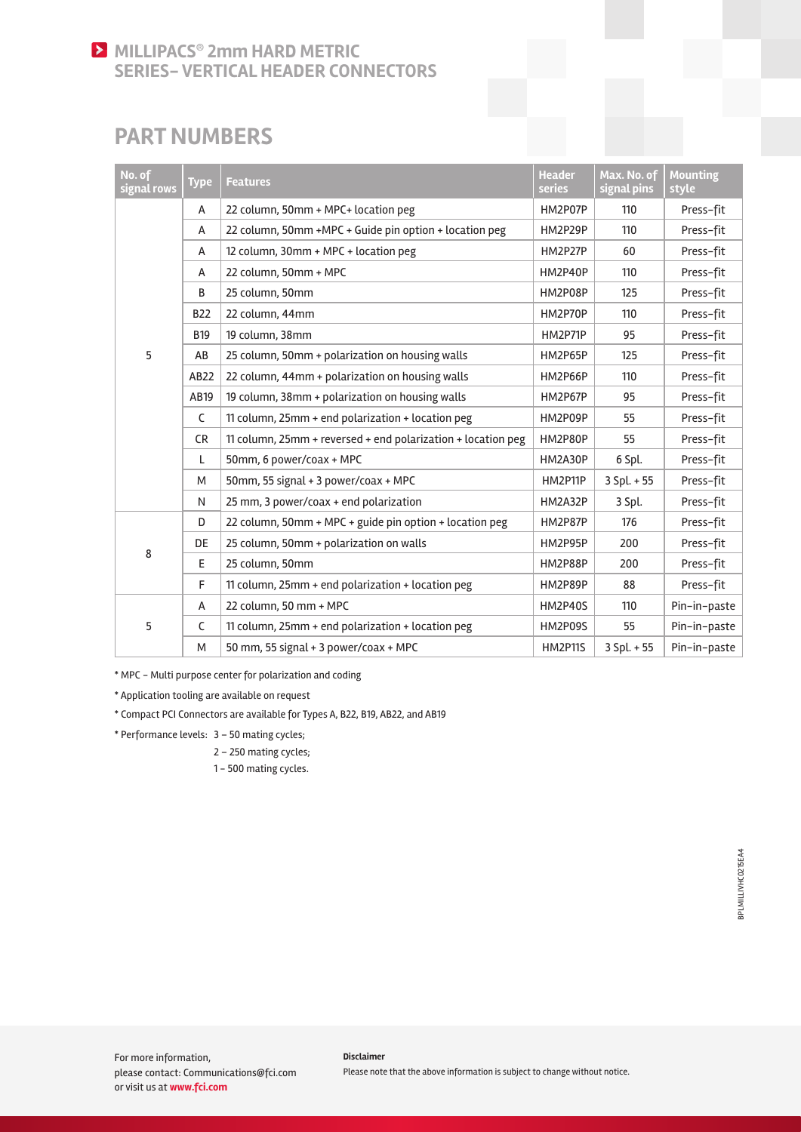### **MILLIPACS<sup>®</sup> 2mm HARD METRIC SERIES- VERTICAL HEADER CONNECTORS**

### **PART NUMBERS**

| No. of<br>signal rows | <b>Type</b>  | <b>Features</b>                                              | <b>Header</b><br>series | Max. No. of<br>signal pins | <b>Mounting</b><br>style |
|-----------------------|--------------|--------------------------------------------------------------|-------------------------|----------------------------|--------------------------|
| 5                     | Α            | 22 column, 50mm + MPC+ location peg                          | HM2P07P                 | 110                        | Press-fit                |
|                       | A            | 22 column, 50mm +MPC + Guide pin option + location peg       | HM2P29P                 | 110                        | Press-fit                |
|                       | Α            | 12 column, 30mm + MPC + location peg                         | HM2P27P                 | 60                         | Press-fit                |
|                       | A            | 22 column, 50mm + MPC                                        | HM2P40P                 | 110                        | Press-fit                |
|                       | B            | 25 column, 50mm                                              | HM2P08P                 | 125                        | Press-fit                |
|                       | <b>B22</b>   | 22 column, 44mm                                              | HM2P70P                 | 110                        | Press-fit                |
|                       | <b>B19</b>   | 19 column, 38mm                                              | HM2P71P                 | 95                         | Press-fit                |
|                       | AB           | 25 column, 50mm + polarization on housing walls              | HM2P65P                 | 125                        | Press-fit                |
|                       | AB22         | 22 column, 44mm + polarization on housing walls              | HM2P66P                 | 110                        | Press-fit                |
|                       | AB19         | 19 column, 38mm + polarization on housing walls              | HM2P67P                 | 95                         | Press-fit                |
|                       | $\mathsf{C}$ | 11 column, 25mm + end polarization + location peg            | HM2P09P                 | 55                         | Press-fit                |
|                       | <b>CR</b>    | 11 column, 25mm + reversed + end polarization + location peg | HM2P80P                 | 55                         | Press-fit                |
|                       | L            | 50mm, 6 power/coax + MPC                                     | HM2A30P                 | 6 Spl.                     | Press-fit                |
|                       | M            | 50mm, 55 signal + 3 power/coax + MPC                         | HM2P11P                 | $3$ Spl. $+55$             | Press-fit                |
|                       | N            | 25 mm, 3 power/coax + end polarization                       | HM2A32P                 | 3 Spl.                     | Press-fit                |
| 8                     | D            | 22 column, 50mm + MPC + guide pin option + location peg      | HM2P87P                 | 176                        | Press-fit                |
|                       | DE           | 25 column, 50mm + polarization on walls                      | HM2P95P                 | 200                        | Press-fit                |
|                       | E.           | 25 column, 50mm                                              | HM2P88P                 | 200                        | Press-fit                |
|                       | F            | 11 column, 25mm + end polarization + location peg            | HM2P89P                 | 88                         | Press-fit                |
| 5                     | A            | 22 column, 50 mm + MPC                                       | <b>HM2P40S</b>          | 110                        | Pin-in-paste             |
|                       | C            | 11 column, 25mm + end polarization + location peg            | HM2P09S                 | 55                         | Pin-in-paste             |
|                       | M            | 50 mm, 55 signal + 3 power/coax + MPC                        | <b>HM2P11S</b>          | $3 Spl. + 55$              | Pin-in-paste             |

\* MPC - Multi purpose center for polarization and coding

\* Application tooling are available on request

\* Compact PCI Connectors are available for Types A, B22, B19, AB22, and AB19

\* Performance levels: 3 – 50 mating cycles;

2 – 250 mating cycles;

1 - 500 mating cycles.